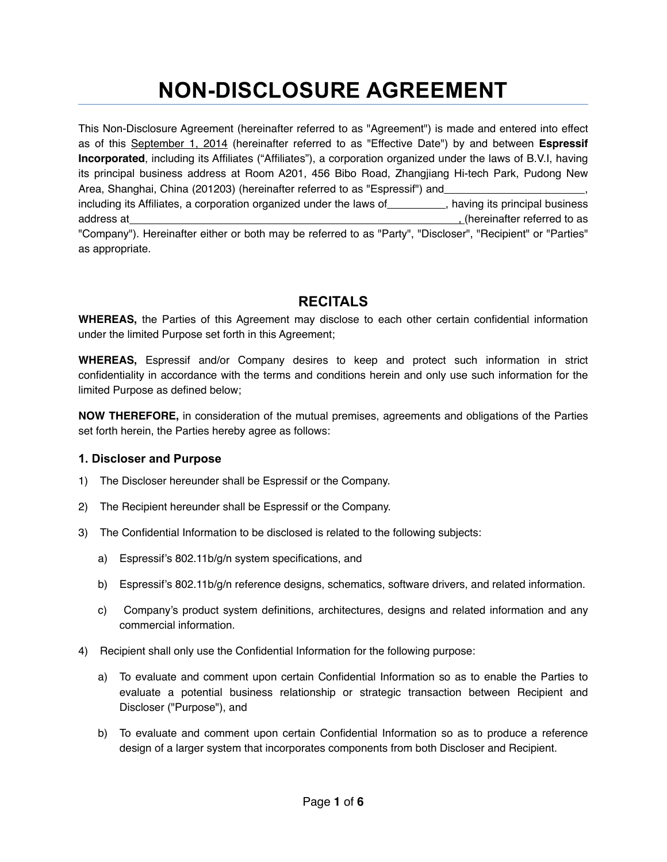# **NON-DISCLOSURE AGREEMENT**

This Non-Disclosure Agreement (hereinafter referred to as "Agreement") is made and entered into effect as of this September 1, 2014 (hereinafter referred to as "Effective Date") by and between **Espressif Incorporated**, including its Affiliates ("Affiliates"), a corporation organized under the laws of B.V.I, having its principal business address at Room A201, 456 Bibo Road, Zhangjiang Hi-tech Park, Pudong New Area, Shanghai, China (201203) (hereinafter referred to as "Espressif") and including its Affiliates, a corporation organized under the laws of \_\_\_\_\_\_\_\_\_\_, having its principal business address at , (hereinafter referred to as "Company"). Hereinafter either or both may be referred to as "Party", "Discloser", "Recipient" or "Parties" as appropriate.

### **RECITALS**

**WHEREAS,** the Parties of this Agreement may disclose to each other certain confidential information under the limited Purpose set forth in this Agreement;

**WHEREAS,** Espressif and/or Company desires to keep and protect such information in strict confidentiality in accordance with the terms and conditions herein and only use such information for the limited Purpose as defined below;

**NOW THEREFORE,** in consideration of the mutual premises, agreements and obligations of the Parties set forth herein, the Parties hereby agree as follows:

#### **1. Discloser and Purpose**

- 1) The Discloser hereunder shall be Espressif or the Company.
- 2) The Recipient hereunder shall be Espressif or the Company.
- 3) The Confidential Information to be disclosed is related to the following subjects:
	- a) Espressif's 802.11b/g/n system specifications, and
	- b) Espressif's 802.11b/g/n reference designs, schematics, software drivers, and related information.
	- c) Company's product system definitions, architectures, designs and related information and any commercial information.
- 4) Recipient shall only use the Confidential Information for the following purpose:
	- a) To evaluate and comment upon certain Confidential Information so as to enable the Parties to evaluate a potential business relationship or strategic transaction between Recipient and Discloser ("Purpose"), and
	- b) To evaluate and comment upon certain Confidential Information so as to produce a reference design of a larger system that incorporates components from both Discloser and Recipient.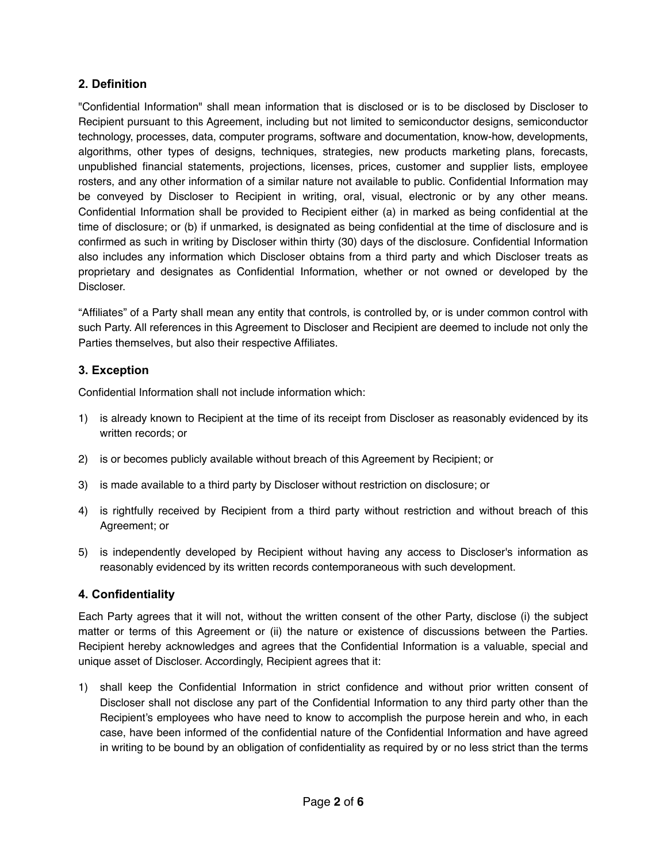#### **2. Definition**

"Confidential Information" shall mean information that is disclosed or is to be disclosed by Discloser to Recipient pursuant to this Agreement, including but not limited to semiconductor designs, semiconductor technology, processes, data, computer programs, software and documentation, know-how, developments, algorithms, other types of designs, techniques, strategies, new products marketing plans, forecasts, unpublished financial statements, projections, licenses, prices, customer and supplier lists, employee rosters, and any other information of a similar nature not available to public. Confidential Information may be conveyed by Discloser to Recipient in writing, oral, visual, electronic or by any other means. Confidential Information shall be provided to Recipient either (a) in marked as being confidential at the time of disclosure; or (b) if unmarked, is designated as being confidential at the time of disclosure and is confirmed as such in writing by Discloser within thirty (30) days of the disclosure. Confidential Information also includes any information which Discloser obtains from a third party and which Discloser treats as proprietary and designates as Confidential Information, whether or not owned or developed by the Discloser.

"Affiliates" of a Party shall mean any entity that controls, is controlled by, or is under common control with such Party. All references in this Agreement to Discloser and Recipient are deemed to include not only the Parties themselves, but also their respective Affiliates.

#### **3. Exception**

Confidential Information shall not include information which:

- 1) is already known to Recipient at the time of its receipt from Discloser as reasonably evidenced by its written records; or
- 2) is or becomes publicly available without breach of this Agreement by Recipient; or
- 3) is made available to a third party by Discloser without restriction on disclosure; or
- 4) is rightfully received by Recipient from a third party without restriction and without breach of this Agreement; or
- 5) is independently developed by Recipient without having any access to Discloser's information as reasonably evidenced by its written records contemporaneous with such development.

#### **4. Confidentiality**

Each Party agrees that it will not, without the written consent of the other Party, disclose (i) the subject matter or terms of this Agreement or (ii) the nature or existence of discussions between the Parties. Recipient hereby acknowledges and agrees that the Confidential Information is a valuable, special and unique asset of Discloser. Accordingly, Recipient agrees that it:

1) shall keep the Confidential Information in strict confidence and without prior written consent of Discloser shall not disclose any part of the Confidential Information to any third party other than the Recipient's employees who have need to know to accomplish the purpose herein and who, in each case, have been informed of the confidential nature of the Confidential Information and have agreed in writing to be bound by an obligation of confidentiality as required by or no less strict than the terms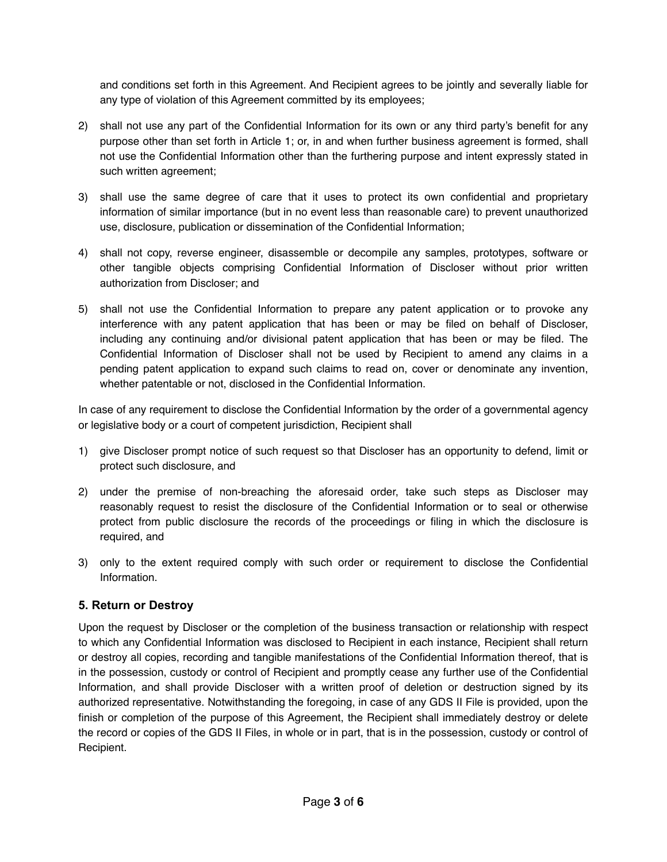and conditions set forth in this Agreement. And Recipient agrees to be jointly and severally liable for any type of violation of this Agreement committed by its employees;

- 2) shall not use any part of the Confidential Information for its own or any third party's benefit for any purpose other than set forth in Article 1; or, in and when further business agreement is formed, shall not use the Confidential Information other than the furthering purpose and intent expressly stated in such written agreement;
- 3) shall use the same degree of care that it uses to protect its own confidential and proprietary information of similar importance (but in no event less than reasonable care) to prevent unauthorized use, disclosure, publication or dissemination of the Confidential Information;
- 4) shall not copy, reverse engineer, disassemble or decompile any samples, prototypes, software or other tangible objects comprising Confidential Information of Discloser without prior written authorization from Discloser; and
- 5) shall not use the Confidential Information to prepare any patent application or to provoke any interference with any patent application that has been or may be filed on behalf of Discloser, including any continuing and/or divisional patent application that has been or may be filed. The Confidential Information of Discloser shall not be used by Recipient to amend any claims in a pending patent application to expand such claims to read on, cover or denominate any invention, whether patentable or not, disclosed in the Confidential Information.

In case of any requirement to disclose the Confidential Information by the order of a governmental agency or legislative body or a court of competent jurisdiction, Recipient shall

- 1) give Discloser prompt notice of such request so that Discloser has an opportunity to defend, limit or protect such disclosure, and
- 2) under the premise of non-breaching the aforesaid order, take such steps as Discloser may reasonably request to resist the disclosure of the Confidential Information or to seal or otherwise protect from public disclosure the records of the proceedings or filing in which the disclosure is required, and
- 3) only to the extent required comply with such order or requirement to disclose the Confidential Information.

#### **5. Return or Destroy**

Upon the request by Discloser or the completion of the business transaction or relationship with respect to which any Confidential Information was disclosed to Recipient in each instance, Recipient shall return or destroy all copies, recording and tangible manifestations of the Confidential Information thereof, that is in the possession, custody or control of Recipient and promptly cease any further use of the Confidential Information, and shall provide Discloser with a written proof of deletion or destruction signed by its authorized representative. Notwithstanding the foregoing, in case of any GDS II File is provided, upon the finish or completion of the purpose of this Agreement, the Recipient shall immediately destroy or delete the record or copies of the GDS II Files, in whole or in part, that is in the possession, custody or control of Recipient.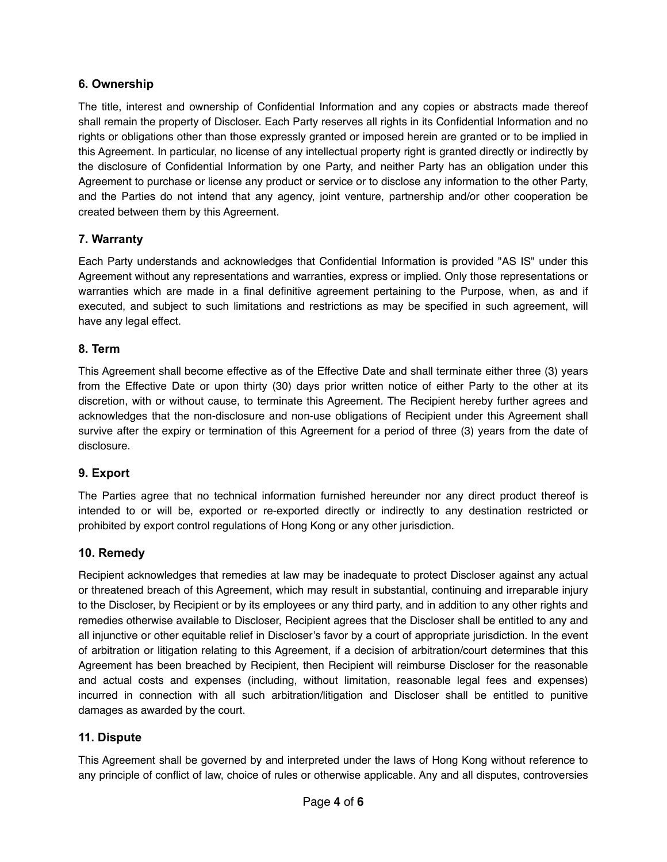#### **6. Ownership**

The title, interest and ownership of Confidential Information and any copies or abstracts made thereof shall remain the property of Discloser. Each Party reserves all rights in its Confidential Information and no rights or obligations other than those expressly granted or imposed herein are granted or to be implied in this Agreement. In particular, no license of any intellectual property right is granted directly or indirectly by the disclosure of Confidential Information by one Party, and neither Party has an obligation under this Agreement to purchase or license any product or service or to disclose any information to the other Party, and the Parties do not intend that any agency, joint venture, partnership and/or other cooperation be created between them by this Agreement.

#### **7. Warranty**

Each Party understands and acknowledges that Confidential Information is provided "AS IS" under this Agreement without any representations and warranties, express or implied. Only those representations or warranties which are made in a final definitive agreement pertaining to the Purpose, when, as and if executed, and subject to such limitations and restrictions as may be specified in such agreement, will have any legal effect.

#### **8. Term**

This Agreement shall become effective as of the Effective Date and shall terminate either three (3) years from the Effective Date or upon thirty (30) days prior written notice of either Party to the other at its discretion, with or without cause, to terminate this Agreement. The Recipient hereby further agrees and acknowledges that the non-disclosure and non-use obligations of Recipient under this Agreement shall survive after the expiry or termination of this Agreement for a period of three (3) years from the date of disclosure.

#### **9. Export**

The Parties agree that no technical information furnished hereunder nor any direct product thereof is intended to or will be, exported or re-exported directly or indirectly to any destination restricted or prohibited by export control regulations of Hong Kong or any other jurisdiction.

#### **10. Remedy**

Recipient acknowledges that remedies at law may be inadequate to protect Discloser against any actual or threatened breach of this Agreement, which may result in substantial, continuing and irreparable injury to the Discloser, by Recipient or by its employees or any third party, and in addition to any other rights and remedies otherwise available to Discloser, Recipient agrees that the Discloser shall be entitled to any and all injunctive or other equitable relief in Discloser's favor by a court of appropriate jurisdiction. In the event of arbitration or litigation relating to this Agreement, if a decision of arbitration/court determines that this Agreement has been breached by Recipient, then Recipient will reimburse Discloser for the reasonable and actual costs and expenses (including, without limitation, reasonable legal fees and expenses) incurred in connection with all such arbitration/litigation and Discloser shall be entitled to punitive damages as awarded by the court.

#### **11. Dispute**

This Agreement shall be governed by and interpreted under the laws of Hong Kong without reference to any principle of conflict of law, choice of rules or otherwise applicable. Any and all disputes, controversies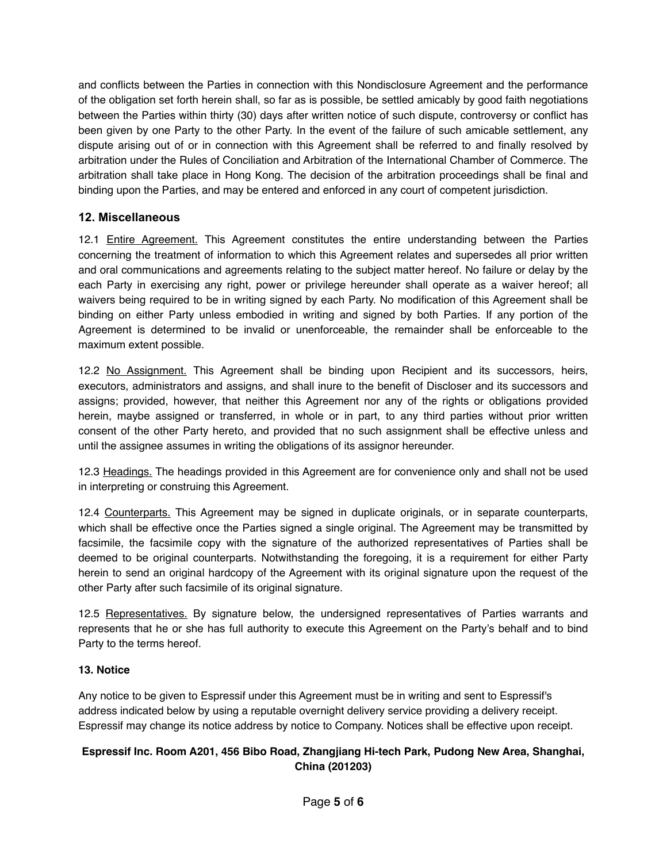and conflicts between the Parties in connection with this Nondisclosure Agreement and the performance of the obligation set forth herein shall, so far as is possible, be settled amicably by good faith negotiations between the Parties within thirty (30) days after written notice of such dispute, controversy or conflict has been given by one Party to the other Party. In the event of the failure of such amicable settlement, any dispute arising out of or in connection with this Agreement shall be referred to and finally resolved by arbitration under the Rules of Conciliation and Arbitration of the International Chamber of Commerce. The arbitration shall take place in Hong Kong. The decision of the arbitration proceedings shall be final and binding upon the Parties, and may be entered and enforced in any court of competent jurisdiction.

#### **12. Miscellaneous**

12.1 Entire Agreement. This Agreement constitutes the entire understanding between the Parties concerning the treatment of information to which this Agreement relates and supersedes all prior written and oral communications and agreements relating to the subject matter hereof. No failure or delay by the each Party in exercising any right, power or privilege hereunder shall operate as a waiver hereof; all waivers being required to be in writing signed by each Party. No modification of this Agreement shall be binding on either Party unless embodied in writing and signed by both Parties. If any portion of the Agreement is determined to be invalid or unenforceable, the remainder shall be enforceable to the maximum extent possible.

12.2 No Assignment. This Agreement shall be binding upon Recipient and its successors, heirs, executors, administrators and assigns, and shall inure to the benefit of Discloser and its successors and assigns; provided, however, that neither this Agreement nor any of the rights or obligations provided herein, maybe assigned or transferred, in whole or in part, to any third parties without prior written consent of the other Party hereto, and provided that no such assignment shall be effective unless and until the assignee assumes in writing the obligations of its assignor hereunder.

12.3 Headings. The headings provided in this Agreement are for convenience only and shall not be used in interpreting or construing this Agreement.

12.4 Counterparts. This Agreement may be signed in duplicate originals, or in separate counterparts, which shall be effective once the Parties signed a single original. The Agreement may be transmitted by facsimile, the facsimile copy with the signature of the authorized representatives of Parties shall be deemed to be original counterparts. Notwithstanding the foregoing, it is a requirement for either Party herein to send an original hardcopy of the Agreement with its original signature upon the request of the other Party after such facsimile of its original signature.

12.5 Representatives. By signature below, the undersigned representatives of Parties warrants and represents that he or she has full authority to execute this Agreement on the Party's behalf and to bind Party to the terms hereof.

#### **13. Notice**

Any notice to be given to Espressif under this Agreement must be in writing and sent to Espressif's address indicated below by using a reputable overnight delivery service providing a delivery receipt. Espressif may change its notice address by notice to Company. Notices shall be effective upon receipt.

#### **Espressif Inc. Room A201, 456 Bibo Road, Zhangjiang Hi-tech Park, Pudong New Area, Shanghai, China (201203)**